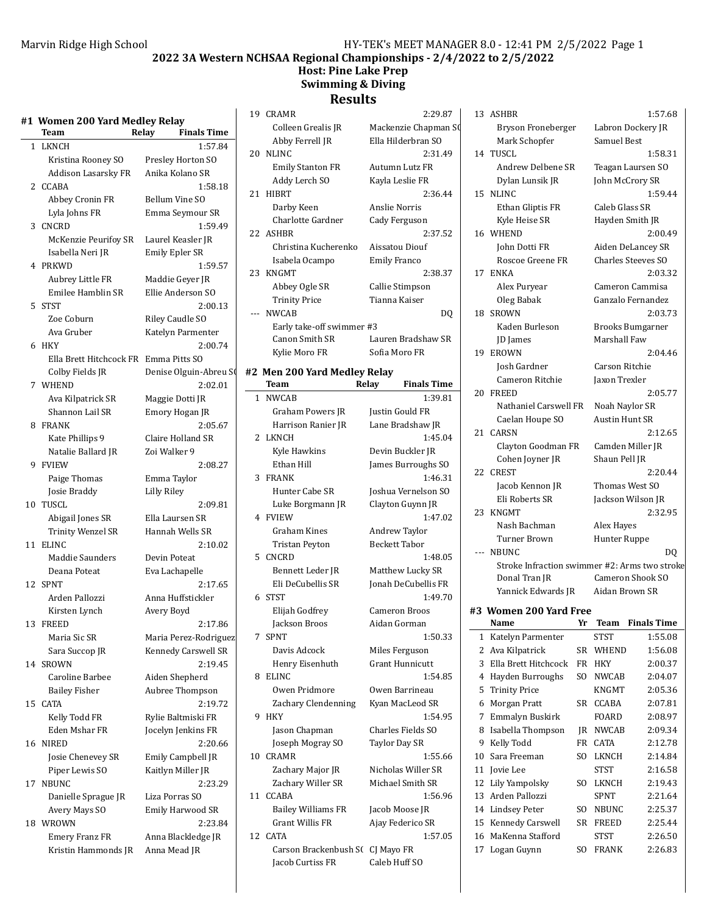# **2022 3A Western NCHSAA Regional Championships - 2/4/2022 to 2/5/2022**

## **Host: Pine Lake Prep Swimming & Diving**

# **Results**

|  | #1  Women 200 Yard Medley Relay |  |
|--|---------------------------------|--|
|  |                                 |  |

|              | Team                    | <b>Finals Time</b><br>Relay |
|--------------|-------------------------|-----------------------------|
| $\mathbf{1}$ | <b>LKNCH</b>            | 1:57.84                     |
|              | Kristina Rooney SO      | Presley Horton SO           |
|              | Addison Lasarsky FR     | Anika Kolano SR             |
|              | 2 CCABA                 | 1:58.18                     |
|              | Abbey Cronin FR         | Bellum Vine SO              |
|              | Lyla Johns FR           | Emma Seymour SR             |
| 3            | <b>CNCRD</b>            | 1:59.49                     |
|              | McKenzie Peurifoy SR    | Laurel Keasler JR           |
|              | Isabella Neri JR        | <b>Emily Epler SR</b>       |
|              | 4 PRKWD                 | 1:59.57                     |
|              | Aubrey Little FR        | Maddie Geyer JR             |
|              | Emilee Hamblin SR       | Ellie Anderson SO           |
| 5.           | <b>STST</b>             | 2:00.13                     |
|              | Zoe Coburn              | Riley Caudle SO             |
|              | Ava Gruber              | Katelyn Parmenter           |
| 6            | <b>HKY</b>              | 2:00.74                     |
|              | Ella Brett Hitchcock FR | Emma Pitts SO               |
|              | Colby Fields JR         | Denise Olguin-Abreu S       |
| 7            | WHEND                   | 2:02.01                     |
|              | Ava Kilpatrick SR       | Maggie Dotti JR             |
|              | Shannon Lail SR         | Emory Hogan JR              |
| 8.           | <b>FRANK</b>            | 2:05.67                     |
|              | Kate Phillips 9         | Claire Holland SR           |
|              | Natalie Ballard JR      | Zoi Walker 9                |
| 9            | <b>FVIEW</b>            | 2:08.27                     |
|              | Paige Thomas            | Emma Taylor                 |
|              | Josie Braddy            | Lilly Riley                 |
| 10           | TUSCL                   | 2:09.81                     |
|              | Abigail Jones SR        | Ella Laursen SR             |
|              | Trinity Wenzel SR       | Hannah Wells SR             |
| 11           | <b>ELINC</b>            | 2:10.02                     |
|              | Maddie Saunders         | Devin Poteat                |
|              | Deana Poteat            | Eva Lachapelle              |
| 12           | <b>SPNT</b>             | 2:17.65                     |
|              | Arden Pallozzi          | Anna Huffstickler           |
|              | Kirsten Lynch           | Avery Boyd                  |
| 13           | <b>FREED</b>            | 2:17.86                     |
|              | Maria Sic SR            | Maria Perez-Rodriguez       |
|              | Sara Succop JR          | Kennedy Carswell SR         |
| 14           | <b>SROWN</b>            | 2:19.45                     |
|              | Caroline Barbee         | Aiden Shepherd              |
|              | Bailey Fisher           | Aubree Thompson             |
| 15           | <b>CATA</b>             | 2:19.72                     |
|              | Kelly Todd FR           | Rylie Baltmiski FR          |
|              | Eden Mshar FR           | Jocelyn Jenkins FR          |
| 16           | <b>NIRED</b>            | 2:20.66                     |
|              | Josie Chenevey SR       | Emily Campbell JR           |
|              | Piper Lewis SO          | Kaitlyn Miller JR           |
| 17           | NBUNC                   | 2:23.29                     |
|              | Danielle Sprague JR     | Liza Porras SO              |
|              | Avery Mays SO           | Emily Harwood SR            |
| 18           | WROWN                   | 2:23.84                     |
|              | <b>Emery Franz FR</b>   | Anna Blackledge JR          |
|              | Kristin Hammonds JR     | Anna Mead JR                |
|              |                         |                             |

|    | 19 CRAMR                         | 2:29.87                        |
|----|----------------------------------|--------------------------------|
|    | Colleen Grealis JR               | Mackenzie Chapman SO           |
|    | Abby Ferrell JR                  | Ella Hilderbran SO             |
| 20 | <b>NLINC</b>                     | 2:31.49                        |
|    | <b>Emily Stanton FR</b>          | Autumn Lutz FR                 |
|    | Addy Lerch SO                    | Kayla Leslie FR                |
| 21 | <b>HIBRT</b>                     | 2:36.44                        |
|    | Darby Keen                       | Anslie Norris                  |
|    | Charlotte Gardner                | Cady Ferguson                  |
|    | 22 ASHBR                         | 2:37.52                        |
|    | Christina Kucherenko             | Aissatou Diouf                 |
|    | Isabela Ocampo                   | <b>Emily Franco</b>            |
| 23 | KNGMT                            | 2:38.37                        |
|    | Abbey Ogle SR                    | Callie Stimpson                |
|    | <b>Trinity Price</b>             | Tianna Kaiser                  |
|    | <b>NWCAB</b>                     | DO                             |
|    | Early take-off swimmer #3        |                                |
|    | Canon Smith SR                   | Lauren Bradshaw SR             |
|    | Kylie Moro FR                    | Sofia Moro FR                  |
|    | #2 Men 200 Yard Medley Relay     |                                |
|    | Team                             | Relay<br><b>Finals Time</b>    |
|    | 1 NWCAB                          | 1:39.81                        |
|    | <b>Graham Powers JR</b>          | Justin Gould FR                |
|    | Harrison Ranier JR               | Lane Bradshaw JR               |
| 2  | LKNCH                            | 1:45.04                        |
|    | Kyle Hawkins                     | Devin Buckler JR               |
|    | Ethan Hill                       | James Burroughs SO             |
| 3  | <b>FRANK</b>                     | 1:46.31                        |
|    | Hunter Cabe SR                   | Joshua Vernelson SO            |
|    | Luke Borgmann JR                 | Clayton Guynn JR               |
|    | 4 FVIEW                          | 1:47.02                        |
|    | Graham Kines                     | Andrew Taylor                  |
|    | <b>Tristan Peyton</b>            | <b>Beckett Tabor</b>           |
|    | 5 CNCRD                          | 1:48.05                        |
|    | Bennett Leder JR                 | Matthew Lucky SR               |
|    | Eli DeCubellis SR                | Jonah DeCubellis FR<br>1:49.70 |
| 6  | <b>STST</b>                      |                                |
|    | Elijah Godfrey                   | <b>Cameron Broos</b>           |
| 7  | Jackson Broos<br><b>SPNT</b>     | Aidan Gorman<br>1:50.33        |
|    | Davis Adcock                     | Miles Ferguson                 |
|    | Henry Eisenhuth                  | <b>Grant Hunnicutt</b>         |
| 8  | <b>ELINC</b>                     | 1:54.85                        |
|    | Owen Pridmore                    | Owen Barrineau                 |
|    | Zachary Clendenning              | Kyan MacLeod SR                |
| 9  | <b>HKY</b>                       | 1:54.95                        |
|    | Jason Chapman                    | Charles Fields SO              |
|    | Joseph Mogray SO                 | <b>Taylor Day SR</b>           |
| 10 | <b>CRAMR</b>                     | 1:55.66                        |
|    | Zachary Major JR                 | Nicholas Willer SR             |
|    | Zachary Willer SR                | Michael Smith SR               |
|    | 11 CCABA                         | 1:56.96                        |
|    | <b>Bailey Williams FR</b>        | Jacob Moose JR                 |
|    | <b>Grant Willis FR</b>           | Ajay Federico SR               |
| 12 | <b>CATA</b>                      | 1:57.05                        |
|    | Carson Brackenbush S( CJ Mayo FR |                                |
|    | Jacob Curtiss FR                 | Caleb Huff SO                  |

|    | 13 ASHBR                                      |              |                       | 1:57.68                 |  |
|----|-----------------------------------------------|--------------|-----------------------|-------------------------|--|
|    | Bryson Froneberger                            |              | Labron Dockery JR     |                         |  |
|    | Mark Schopfer                                 |              | <b>Samuel Best</b>    |                         |  |
|    | 14 TUSCL                                      |              |                       | 1:58.31                 |  |
|    | Andrew Delbene SR                             |              |                       | Teagan Laursen SO       |  |
|    | Dylan Lunsik JR                               |              | John McCrory SR       |                         |  |
| 15 | <b>NLINC</b>                                  |              |                       | 1:59.44                 |  |
|    | Ethan Gliptis FR                              |              | Caleb Glass SR        |                         |  |
|    | Kyle Heise SR                                 |              | Hayden Smith JR       |                         |  |
| 16 | <b>WHEND</b>                                  |              |                       | 2:00.49                 |  |
|    | John Dotti FR                                 |              |                       | Aiden DeLancey SR       |  |
|    | Roscoe Greene FR                              |              |                       | Charles Steeves SO      |  |
| 17 | <b>ENKA</b>                                   |              |                       | 2:03.32                 |  |
|    | Alex Puryear                                  |              |                       | Cameron Cammisa         |  |
|    | Oleg Babak                                    |              |                       | Ganzalo Fernandez       |  |
| 18 | <b>SROWN</b>                                  |              |                       | 2:03.73                 |  |
|    | Kaden Burleson                                |              |                       | Brooks Bumgarner        |  |
|    | <b>JD</b> James                               |              | Marshall Faw          |                         |  |
| 19 | <b>EROWN</b>                                  |              |                       | 2:04.46                 |  |
|    | Josh Gardner                                  |              | Carson Ritchie        |                         |  |
|    | Cameron Ritchie                               |              | Jaxon Trexler         |                         |  |
| 20 | <b>FREED</b>                                  |              |                       | 2:05.77                 |  |
|    | Nathaniel Carswell FR                         |              | Noah Naylor SR        |                         |  |
|    | Caelan Houpe SO                               |              | <b>Austin Hunt SR</b> |                         |  |
| 21 | <b>CARSN</b>                                  |              |                       | 2:12.65                 |  |
|    | Clayton Goodman FR                            |              |                       | Camden Miller JR        |  |
|    | Cohen Joyner JR                               |              | Shaun Pell JR         |                         |  |
| 22 | <b>CREST</b>                                  |              |                       | 2:20.44                 |  |
|    | Jacob Kennon JR                               |              | Thomas West SO        |                         |  |
|    | Eli Roberts SR                                |              |                       | Jackson Wilson JR       |  |
| 23 | <b>KNGMT</b>                                  |              |                       | 2:32.95                 |  |
|    | Nash Bachman                                  |              | Alex Hayes            |                         |  |
|    | Turner Brown                                  |              | Hunter Ruppe          |                         |  |
|    | --- NBUNC                                     |              |                       | DO                      |  |
|    | Stroke Infraction swimmer #2: Arms two stroke |              |                       |                         |  |
|    | Donal Tran JR                                 |              |                       | Cameron Shook SO        |  |
|    | Yannick Edwards JR                            |              | Aidan Brown SR        |                         |  |
|    | #3 Women 200 Yard Free                        |              |                       |                         |  |
|    | Name                                          | Yr <b>Yr</b> |                       | <b>Team</b> Finals Time |  |
| 1  | Katelyn Parmenter                             |              | <b>STST</b>           | 1:55.08                 |  |
| 2  | Ava Kilpatrick                                | SR           | WHEND                 | 1:56.08                 |  |
| 3  | Ella Brett Hitchcock                          | FR           | <b>HKY</b>            | 2:00.37                 |  |
| 4  | Hayden Burroughs                              | SO.          | <b>NWCAB</b>          | 2:04.07                 |  |
| 5  | <b>Trinity Price</b>                          |              | KNGMT                 | 2:05.36                 |  |
| 6  | Morgan Pratt                                  | SR           | CCABA                 | 2:07.81                 |  |
| 7  | Emmalyn Buskirk                               |              | FOARD                 | 2:08.97                 |  |
| 8  | Isabella Thompson                             | JR           | <b>NWCAB</b>          | 2:09.34                 |  |
| 9  | Kelly Todd                                    | FR           | CATA                  | 2:12.78                 |  |
| 10 | Sara Freeman                                  | SO           | LKNCH                 | 2:14.84                 |  |
| 11 | <b>Jovie Lee</b>                              |              | STST                  | 2:16.58                 |  |
| 12 | Lily Yampolsky                                | SO           | LKNCH                 | 2:19.43                 |  |
| 13 | Arden Pallozzi                                |              | SPNT                  | 2:21.64                 |  |

14 Lindsey Peter SO NBUNC 2:25.37 15 Kennedy Carswell SR FREED 2:25.44

16 MaKenna Stafford STST 2:26.50 17 Logan Guynn SO FRANK 2:26.83

| 17 Logan Guynn |  |
|----------------|--|
|                |  |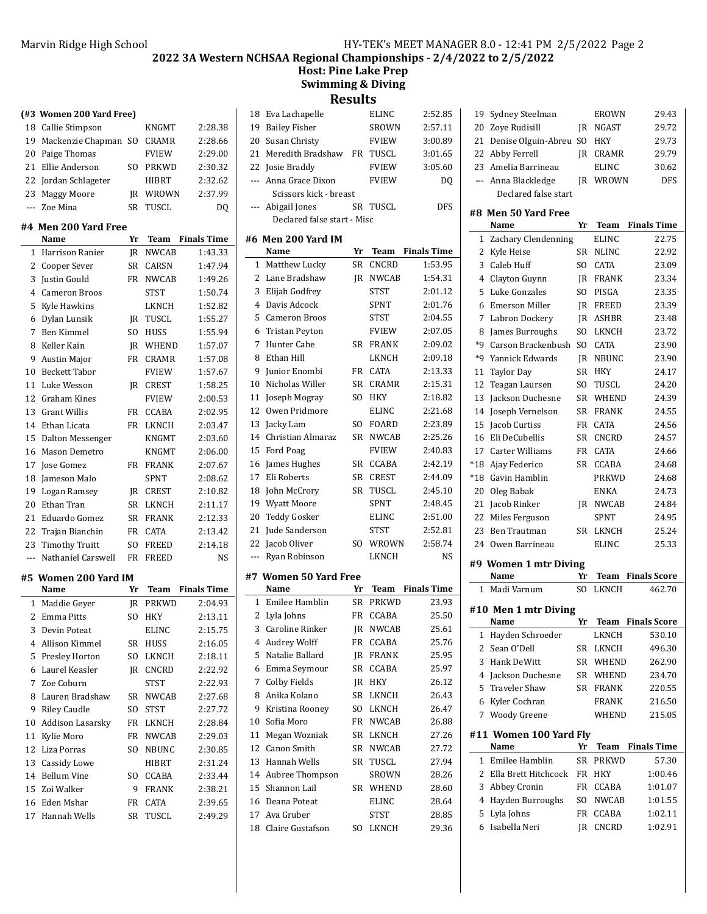### Marvin Ridge High School Marvin Ridge High School and Marvin Ridge High School and Marvin Ridge 2

**2022 3A Western NCHSAA Regional Championships - 2/4/2022 to 2/5/2022**

**Host: Pine Lake Prep Swimming & Diving**

**Results**

|       | (#3 Women 200 Yard Free)     |     |                 |                    |     | 18 Eva Lachapelle           |    | ELINC        | 2:52.85            |
|-------|------------------------------|-----|-----------------|--------------------|-----|-----------------------------|----|--------------|--------------------|
|       | 18 Callie Stimpson           |     | KNGMT           | 2:28.38            | 19  | <b>Bailey Fisher</b>        |    | SROWN        | 2:57.11            |
| 19    | Mackenzie Chapman SO CRAMR   |     |                 | 2:28.66            | 20  | Susan Christy               |    | <b>FVIEW</b> | 3:00.89            |
|       | 20 Paige Thomas              |     | <b>FVIEW</b>    | 2:29.00            | 21  | Meredith Bradshaw           |    | FR TUSCL     | 3:01.65            |
|       | 21 Ellie Anderson            |     | SO PRKWD        | 2:30.32            |     | 22 Josie Braddy             |    | <b>FVIEW</b> | 3:05.60            |
|       | 22 Jordan Schlageter         |     | HIBRT           | 2:32.62            |     | --- Anna Grace Dixon        |    | <b>FVIEW</b> | DQ                 |
|       | 23 Maggy Moore               |     | <b>IR WROWN</b> | 2:37.99            |     | Scissors kick - breast      |    |              |                    |
|       | --- Zoe Mina                 |     | SR TUSCL        | DQ                 |     | --- Abigail Jones           |    | SR TUSCL     | <b>DFS</b>         |
|       |                              |     |                 |                    |     | Declared false start - Misc |    |              |                    |
|       | #4 Men 200 Yard Free         |     |                 |                    |     |                             |    |              |                    |
|       | Name                         | Yr  | Team            | <b>Finals Time</b> |     | #6 Men 200 Yard IM<br>Name  | Yr | <b>Team</b>  | <b>Finals Time</b> |
|       | 1 Harrison Ranier            |     | <b>IR NWCAB</b> | 1:43.33            |     |                             |    |              |                    |
|       | 2 Cooper Sever               |     | SR CARSN        | 1:47.94            |     | 1 Matthew Lucky             | SR | <b>CNCRD</b> | 1:53.95            |
| 3     | Justin Gould                 |     | FR NWCAB        | 1:49.26            |     | 2 Lane Bradshaw             |    | JR NWCAB     | 1:54.31            |
| 4     | <b>Cameron Broos</b>         |     | <b>STST</b>     | 1:50.74            |     | 3 Elijah Godfrey            |    | <b>STST</b>  | 2:01.12            |
| 5     | Kyle Hawkins                 |     | LKNCH           | 1:52.82            |     | 4 Davis Adcock              |    | <b>SPNT</b>  | 2:01.76            |
|       | 6 Dylan Lunsik               |     | <b>IR TUSCL</b> | 1:55.27            | 5.  | Cameron Broos               |    | STST         | 2:04.55            |
|       | 7 Ben Kimmel                 | SO. | HUSS            | 1:55.94            | 6   | <b>Tristan Peyton</b>       |    | <b>FVIEW</b> | 2:07.05            |
| 8     | Keller Kain                  |     | <b>IR WHEND</b> | 1:57.07            | 7   | Hunter Cabe                 |    | SR FRANK     | 2:09.02            |
| 9     | <b>Austin Major</b>          |     | FR CRAMR        | 1:57.08            | 8   | Ethan Hill                  |    | LKNCH        | 2:09.18            |
| 10    | <b>Beckett Tabor</b>         |     | <b>FVIEW</b>    | 1:57.67            | 9   | Junior Enombi               |    | FR CATA      | 2:13.33            |
|       | 11 Luke Wesson               |     | <b>IR CREST</b> | 1:58.25            | 10  | Nicholas Willer             |    | SR CRAMR     | 2:15.31            |
|       | 12 Graham Kines              |     | <b>FVIEW</b>    | 2:00.53            |     | 11 Joseph Mogray            |    | SO HKY       | 2:18.82            |
|       | 13 Grant Willis              |     | FR CCABA        | 2:02.95            | 12  | Owen Pridmore               |    | <b>ELINC</b> | 2:21.68            |
|       | 14 Ethan Licata              |     | FR LKNCH        | 2:03.47            | 13  | Jacky Lam                   |    | SO FOARD     | 2:23.89            |
| 15    | Dalton Messenger             |     | KNGMT           | 2:03.60            | 14  | Christian Almaraz           |    | SR NWCAB     | 2:25.26            |
|       | 16 Mason Demetro             |     | KNGMT           | 2:06.00            | 15  | Ford Poag                   |    | <b>FVIEW</b> | 2:40.83            |
|       | 17 Jose Gomez                |     | FR FRANK        | 2:07.67            | 16  | James Hughes                |    | SR CCABA     | 2:42.19            |
| 18    | Jameson Malo                 |     | <b>SPNT</b>     | 2:08.62            | 17  | Eli Roberts                 |    | SR CREST     | 2:44.09            |
|       | 19 Logan Ramsey              |     | JR CREST        | 2:10.82            | 18  | John McCrory                |    | SR TUSCL     | 2:45.10            |
| 20    | Ethan Tran                   |     | SR LKNCH        | 2:11.17            | 19  | <b>Wyatt Moore</b>          |    | <b>SPNT</b>  | 2:48.45            |
| 21    | Eduardo Gomez                |     | SR FRANK        | 2:12.33            | 20  | <b>Teddy Gosker</b>         |    | <b>ELINC</b> | 2:51.00            |
| 22    | Trajan Bianchin              |     | FR CATA         | 2:13.42            | 21  | Jude Sanderson              |    | <b>STST</b>  | 2:52.81            |
| 23    | <b>Timothy Truitt</b>        | SO. | <b>FREED</b>    | 2:14.18            | 22  | Jacob Oliver                |    | SO WROWN     | 2:58.74            |
| $---$ | Nathaniel Carswell           |     | FR FREED        | NS                 | --- | Ryan Robinson               |    | LKNCH        | NS                 |
|       |                              |     |                 |                    |     | #7 Women 50 Yard Free       |    |              |                    |
|       | #5 Women 200 Yard IM<br>Name | Yr  | <b>Team</b>     | <b>Finals Time</b> |     | Name                        | Yr | Team         | <b>Finals Time</b> |
|       | 1 Maddie Geyer               |     | <b>IR PRKWD</b> | 2:04.93            |     | 1 Emilee Hamblin            |    | SR PRKWD     | 23.93              |
|       | 2 Emma Pitts                 | SO  | HKY             | 2:13.11            |     | 2 Lyla Johns                |    | FR CCABA     | 25.50              |
|       |                              |     | <b>ELINC</b>    |                    |     | 3 Caroline Rinker           |    | JR NWCAB     | 25.61              |
|       | 3 Devin Poteat               |     |                 | 2:15.75            |     | 4 Audrey Wolff              |    | FR CCABA     | 25.76              |
|       | 4 Allison Kimmel             |     | SR HUSS         | 2:16.05            | 5.  | Natalie Ballard             |    | JR FRANK     | 25.95              |
|       | 5 Presley Horton             |     | SO LKNCH        | 2:18.11            |     |                             |    |              |                    |
|       | 6 Laurel Keasler             |     | JR CNCRD        | 2:22.92            | 6.  | Emma Seymour                |    | SR CCABA     | 25.97              |
|       | 7 Zoe Coburn                 |     | <b>STST</b>     | 2:22.93            | 7.  | Colby Fields                |    | JR HKY       | 26.12              |
|       | 8 Lauren Bradshaw            |     | SR NWCAB        | 2:27.68            | 8   | Anika Kolano                |    | SR LKNCH     | 26.43              |
|       | 9 Riley Caudle               | SO  | <b>STST</b>     | 2:27.72            | 9.  | Kristina Rooney             |    | SO LKNCH     | 26.47              |
|       | 10 Addison Lasarsky          |     | FR LKNCH        | 2:28.84            | 10  | Sofia Moro                  |    | FR NWCAB     | 26.88              |
|       | 11 Kylie Moro                |     | FR NWCAB        | 2:29.03            |     | 11 Megan Wozniak            |    | SR LKNCH     | 27.26              |
|       | 12 Liza Porras               | SO. | NBUNC           | 2:30.85            |     | 12 Canon Smith              |    | SR NWCAB     | 27.72              |
|       | 13 Cassidy Lowe              |     | HIBRT           | 2:31.24            |     | 13 Hannah Wells             |    | SR TUSCL     | 27.94              |
|       | 14 Bellum Vine               |     | SO CCABA        | 2:33.44            |     | 14 Aubree Thompson          |    | SROWN        | 28.26              |
|       | 15 Zoi Walker                | 9   | <b>FRANK</b>    | 2:38.21            | 15  | Shannon Lail                |    | SR WHEND     | 28.60              |
|       | 16 Eden Mshar                |     | FR CATA         | 2:39.65            |     | 16 Deana Poteat             |    | <b>ELINC</b> | 28.64              |
|       | 17 Hannah Wells              |     | SR TUSCL        | 2:49.29            |     | 17 Ava Gruber               |    | <b>STST</b>  | 28.85              |
|       |                              |     |                 |                    |     | 18 Claire Gustafson         |    | SO LKNCH     | 29.36              |

| #8 Men 50 Yard Free<br>Name   | Vr | Team         | Finale Time |
|-------------------------------|----|--------------|-------------|
| Declared false start          |    |              |             |
| --- Anna Blackledge           | IR | WROWN        | <b>DFS</b>  |
| 23 Amelia Barrineau           |    | <b>ELINC</b> | 30.62       |
| 22 Abby Ferrell               | IR | CRAMR        | 29.79       |
| 21 Denise Olguin-Abreu SO HKY |    |              | 29.73       |
| 20 Zove Rudisill              | IR | NGAST        | 29.72       |
| 19 Sydney Steelman            |    | EROWN        | 29.43       |
|                               |    |              |             |

|                | Name                           | Yr  | Team         | <b>Finals Time</b>  |
|----------------|--------------------------------|-----|--------------|---------------------|
| $\mathbf{1}$   | Zachary Clendenning            |     | <b>ELINC</b> | 22.75               |
| 2              | Kyle Heise                     | SR  | <b>NLINC</b> | 22.92               |
| 3              | Caleb Huff                     | SO. | <b>CATA</b>  | 23.09               |
| 4              | Clayton Guynn                  | JR  | <b>FRANK</b> | 23.34               |
| 5              | Luke Gonzales                  | SO. | PISGA        | 23.35               |
| 6              | <b>Emerson Miller</b>          | IR  | <b>FREED</b> | 23.39               |
| 7              | Labron Dockery                 | JR  | ASHBR        | 23.48               |
| 8              | James Burroughs                | SO. | LKNCH        | 23.72               |
| *9             | Carson Brackenbush             | SO. | CATA         | 23.90               |
| *9             | Yannick Edwards                | IR  | NBUNC        | 23.90               |
| 11             | <b>Taylor Day</b>              | SR  | HKY          | 24.17               |
| 12             | Teagan Laursen                 | SO. | TUSCL        | 24.20               |
| 13             | Jackson Duchesne               | SR  | WHEND        | 24.39               |
| 14             | Joseph Vernelson               | SR  | <b>FRANK</b> | 24.55               |
| 15             | Jacob Curtiss                  | FR  | <b>CATA</b>  | 24.56               |
| 16             | Eli DeCubellis                 | SR  | CNCRD        | 24.57               |
| 17             | Carter Williams                | FR  | CATA         | 24.66               |
| $*18$          | Aiav Federico                  | SR  | <b>CCABA</b> | 24.68               |
| $*18$          | Gavin Hamblin                  |     | PRKWD        | 24.68               |
| 20             | Oleg Babak                     |     | <b>ENKA</b>  | 24.73               |
| 21             | Jacob Rinker                   | JR  | <b>NWCAB</b> | 24.84               |
| 22             | Miles Ferguson                 |     | <b>SPNT</b>  | 24.95               |
| 23             | Ben Trautman                   | SR  | LKNCH        | 25.24               |
| 2.4            | Owen Barrineau                 |     | <b>ELINC</b> | 25.33               |
|                | #9 Women 1 mtr Diving          |     |              |                     |
|                | Name                           | Yr  | Team         | <b>Finals Score</b> |
|                | 1 Madi Varnum                  | SO. | LKNCH        | 462.70              |
|                |                                |     |              |                     |
|                | #10 Men 1 mtr Diving           |     |              |                     |
|                | Name                           | Yr  | Team         | <b>Finals Score</b> |
| $\mathbf{1}$   | Hayden Schroeder               |     | LKNCH        | 530.10              |
| $\overline{2}$ | Sean O'Dell                    | SR  | LKNCH        | 496.30              |
| 3              | Hank DeWitt                    | SR  | WHEND        | 262.90              |
| 4              | Jackson Duchesne               | SR  | WHEND        | 234.70              |
|                | 5 Traveler Shaw                | SR  | <b>FRANK</b> | 220.55              |
| 6              | Kyler Cochran                  |     | <b>FRANK</b> | 216.50              |
| 7              | <b>Woody Greene</b>            |     | WHEND        | 215.05              |
|                |                                |     |              |                     |
|                |                                |     |              |                     |
|                | #11 Women 100 Yard Fly<br>Name | Yr  | <b>Team</b>  | <b>Finals Time</b>  |
| 1              | Emilee Hamblin                 | SR  | <b>PRKWD</b> | 57.30               |
| 2              | Ella Brett Hitchcock           | FR  | HKY          | 1:00.46             |
| 3              | Abbey Cronin                   | FR  | CCABA        | 1:01.07             |
| 4              | Hayden Burroughs               | SO. | <b>NWCAB</b> | 1:01.55             |
| 5              | Lyla Johns                     | FR  | CCABA        | 1:02.11             |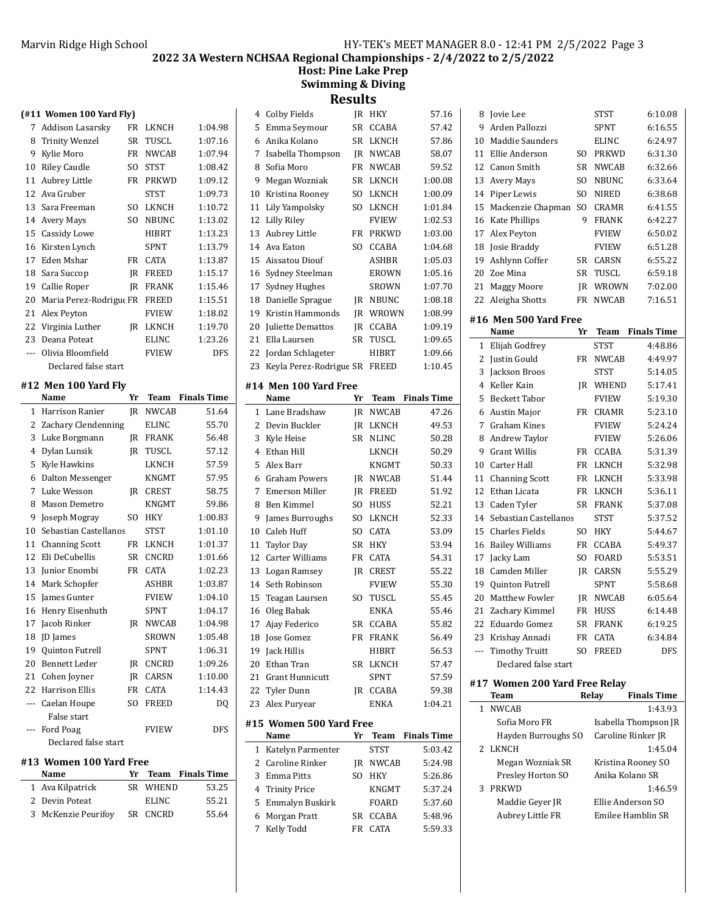### Marvin Ridge High School Marvin Ridge High School and Marvin Ridge High School and Marvin Ridge High School and High School and High School and High School and High School and High School and High School and High School an

**2022 3A Western NCHSAA Regional Championships - 2/4/2022 to 2/5/2022**

**Host: Pine Lake Prep Swimming & Diving Results**

#### **(#11 Women 100 Yard Fly)**

| ۰   |                         |           |              |         |
|-----|-------------------------|-----------|--------------|---------|
| 7   | Addison Lasarsky        | FR        | LKNCH        | 1:04.98 |
| 8   | <b>Trinity Wenzel</b>   | <b>SR</b> | TUSCL        | 1:07.16 |
| 9   | Kylie Moro              | FR.       | <b>NWCAB</b> | 1:07.94 |
| 10  | <b>Riley Caudle</b>     | SO.       | <b>STST</b>  | 1:08.42 |
| 11  | Aubrey Little           | FR        | PRKWD        | 1:09.12 |
| 12  | Ava Gruber              |           | <b>STST</b>  | 1:09.73 |
| 13  | Sara Freeman            | SO.       | LKNCH        | 1:10.72 |
| 14  | <b>Avery Mays</b>       | SO.       | <b>NBUNC</b> | 1:13.02 |
| 15  | Cassidy Lowe            |           | HIBRT        | 1:13.23 |
| 16  | Kirsten Lynch           |           | SPNT         | 1:13.79 |
| 17  | Eden Mshar              | FR        | <b>CATA</b>  | 1:13.87 |
| 18  | Sara Succop             | IR.       | <b>FREED</b> | 1:15.17 |
| 19  | Callie Roper            | IR        | <b>FRANK</b> | 1:15.46 |
| 20  | Maria Perez-Rodrigue FR |           | <b>FREED</b> | 1:15.51 |
| 21  | Alex Peyton             |           | <b>FVIEW</b> | 1:18.02 |
| 22  | Virginia Luther         | IR        | LKNCH        | 1:19.70 |
| 23  | Deana Poteat            |           | <b>ELINC</b> | 1:23.26 |
| --- | Olivia Bloomfield       |           | <b>FVIEW</b> | DFS     |
|     | Declared false start    |           |              |         |

#### **#12 Men 100 Yard Fly**

|                         | Name                  | Yr        | Team         | <b>Finals Time</b> |  |
|-------------------------|-----------------------|-----------|--------------|--------------------|--|
| 1                       | Harrison Ranier       | IR        | <b>NWCAB</b> | 51.64              |  |
| 2                       | Zachary Clendenning   |           | <b>ELINC</b> | 55.70              |  |
| 3                       | Luke Borgmann         | IR        | <b>FRANK</b> | 56.48              |  |
| 4                       | Dylan Lunsik          | IR        | TUSCL        | 57.12              |  |
| 5                       | Kyle Hawkins          |           | <b>LKNCH</b> | 57.59              |  |
| 6                       | Dalton Messenger      |           | <b>KNGMT</b> | 57.95              |  |
| 7                       | Luke Wesson           | <b>IR</b> | <b>CREST</b> | 58.75              |  |
| 8                       | Mason Demetro         |           | <b>KNGMT</b> | 59.86              |  |
| 9                       | Joseph Mogray         | SO.       | <b>HKY</b>   | 1:00.83            |  |
| 10                      | Sebastian Castellanos |           | <b>STST</b>  | 1:01.10            |  |
| 11                      | <b>Channing Scott</b> | <b>FR</b> | LKNCH        | 1:01.37            |  |
| 12                      | Eli DeCubellis        | SR        | <b>CNCRD</b> | 1:01.66            |  |
| 13                      | Junior Enombi         | <b>FR</b> | <b>CATA</b>  | 1:02.23            |  |
| 14                      | Mark Schopfer         |           | <b>ASHBR</b> | 1:03.87            |  |
| 15                      | James Gunter          |           | <b>FVIEW</b> | 1:04.10            |  |
| 16                      | Henry Eisenhuth       |           | <b>SPNT</b>  | 1:04.17            |  |
| 17                      | Jacob Rinker          | IR        | <b>NWCAB</b> | 1:04.98            |  |
| 18                      | <b>JD</b> James       |           | <b>SROWN</b> | 1:05.48            |  |
| 19                      | Quinton Futrell       |           | <b>SPNT</b>  | 1:06.31            |  |
| 20                      | <b>Bennett Leder</b>  | IR.       | CNCRD        | 1:09.26            |  |
| 21                      | Cohen Joyner          | IR        | <b>CARSN</b> | 1:10.00            |  |
| 22.                     | <b>Harrison Ellis</b> | <b>FR</b> | <b>CATA</b>  | 1:14.43            |  |
| $---$                   | Caelan Houpe          | SO.       | <b>FREED</b> | DQ                 |  |
|                         | False start           |           |              |                    |  |
| ---                     | Ford Poag             |           | <b>FVIEW</b> | DFS                |  |
|                         | Declared false start  |           |              |                    |  |
| #13 Women 100 Yard Free |                       |           |              |                    |  |

|  | Name                |              | Yr Team Finals Time |
|--|---------------------|--------------|---------------------|
|  | 1 Ava Kilpatrick    | SR WHEND     | 53.25               |
|  | 2 Devin Poteat      | <b>ELINC</b> | 55.21               |
|  | 3 McKenzie Peurifoy | SR CNCRD     | 55.64               |
|  |                     |              |                     |

| 4  | Colby Fields            | IR        | HKY          | 57.16   |
|----|-------------------------|-----------|--------------|---------|
| 5  | Emma Seymour            | SR        | <b>CCABA</b> | 57.42   |
| 6  | Anika Kolano            | <b>SR</b> | LKNCH        | 57.86   |
| 7  | Isabella Thompson       | IR        | NWCAB        | 58.07   |
| 8  | Sofia Moro              | <b>FR</b> | <b>NWCAB</b> | 59.52   |
| 9  | Megan Wozniak           | <b>SR</b> | LKNCH        | 1:00.08 |
| 10 | Kristina Rooney         | SO.       | LKNCH        | 1:00.09 |
| 11 | Lily Yampolsky          | SO.       | LKNCH        | 1:01.84 |
| 12 | Lilly Riley             |           | <b>FVIEW</b> | 1:02.53 |
| 13 | Aubrey Little           | FR        | PRKWD        | 1:03.00 |
| 14 | Ava Eaton               | SO.       | <b>CCABA</b> | 1:04.68 |
| 15 | Aissatou Diouf          |           | <b>ASHBR</b> | 1:05.03 |
| 16 | Sydney Steelman         |           | EROWN        | 1:05.16 |
| 17 | Sydney Hughes           |           | <b>SROWN</b> | 1:07.70 |
| 18 | Danielle Sprague        | IR        | NBUNC        | 1:08.18 |
| 19 | Kristin Hammonds        | IR        | WROWN        | 1:08.99 |
| 20 | Juliette Demattos       | IR        | <b>CCABA</b> | 1:09.19 |
| 21 | Ella Laursen            | SR        | TUSCL        | 1:09.65 |
| 22 | Jordan Schlageter       |           | HIBRT        | 1:09.66 |
| 23 | Keyla Perez-Rodrigue SR |           | FREED        | 1:10.45 |
|    |                         |           |              |         |

#### **#14 Men 100 Yard Free**

 $\overline{a}$ 

|    | Name                     | Yr             | Team         | <b>Finals Time</b> |
|----|--------------------------|----------------|--------------|--------------------|
| 1  | Lane Bradshaw            | IR.            | <b>NWCAB</b> | 47.26              |
| 2  | Devin Buckler            | IR.            | LKNCH        | 49.53              |
| 3  | Kyle Heise               | <b>SR</b>      | <b>NLINC</b> | 50.28              |
| 4  | Ethan Hill               |                | <b>LKNCH</b> | 50.29              |
| 5  | Alex Barr                |                | <b>KNGMT</b> | 50.33              |
| 6  | Graham Powers            | IR             | <b>NWCAB</b> | 51.44              |
| 7  | Emerson Miller           | IR             | <b>FREED</b> | 51.92              |
| 8  | <b>Ben Kimmel</b>        | SO.            | <b>HUSS</b>  | 52.21              |
| 9  | James Burroughs          | SO.            | <b>LKNCH</b> | 52.33              |
| 10 | Caleb Huff               | S <sub>O</sub> | CATA         | 53.09              |
| 11 | <b>Taylor Day</b>        | SR.            | <b>HKY</b>   | 53.94              |
| 12 | Carter Williams          | FR             | <b>CATA</b>  | 54.31              |
| 13 | Logan Ramsey             | IR             | <b>CREST</b> | 55.22              |
| 14 | Seth Robinson            |                | <b>FVIEW</b> | 55.30              |
| 15 | Teagan Laursen           | SO.            | <b>TUSCL</b> | 55.45              |
| 16 | Oleg Babak               |                | <b>ENKA</b>  | 55.46              |
| 17 | Ajay Federico            | SR             | <b>CCABA</b> | 55.82              |
| 18 | <b>Jose Gomez</b>        | FR             | <b>FRANK</b> | 56.49              |
| 19 | Jack Hillis              |                | HIBRT        | 56.53              |
| 20 | Ethan Tran               | SR.            | <b>LKNCH</b> | 57.47              |
| 21 | <b>Grant Hunnicutt</b>   |                | <b>SPNT</b>  | 57.59              |
| 22 | Tyler Dunn               | IR.            | <b>CCABA</b> | 59.38              |
| 23 | Alex Puryear             |                | <b>ENKA</b>  | 1:04.21            |
|    | #15  Women 500 Yard Free |                |              |                    |
|    | Name                     | Yr             | Team         | <b>Finals Time</b> |
| 1  | Katelyn Parmenter        |                | <b>STST</b>  | 5:03.42            |
| 2  | Caroline Rinker          | IR.            | <b>NWCAB</b> | 5:24.98            |
| 3  | <b>Emma Pitts</b>        | SO.            | <b>HKY</b>   | 5:26.86            |
| 4  | <b>Trinity Price</b>     |                | <b>KNGMT</b> | 5:37.24            |
| 5  | Emmalyn Buskirk          |                | <b>FOARD</b> | 5:37.60            |
| 6  | Morgan Pratt             | SR.            | <b>CCABA</b> | 5:48.96            |
| 7  | Kelly Todd               | FR             | <b>CATA</b>  | 5:59.33            |
|    |                          |                |              |                    |

| 8              | Jovie Lee                     |           | <b>STST</b>  | 6:10.08              |
|----------------|-------------------------------|-----------|--------------|----------------------|
| 9              | Arden Pallozzi                |           | SPNT         | 6:16.55              |
| 10             | <b>Maddie Saunders</b>        |           | <b>ELINC</b> | 6:24.97              |
| 11             | Ellie Anderson                | SO.       | <b>PRKWD</b> | 6:31.30              |
| 12             | Canon Smith                   | SR        | NWCAB        | 6:32.66              |
| 13             | <b>Avery Mays</b>             | SO.       | NBUNC        | 6:33.64              |
| 14             | Piper Lewis                   | SO.       | <b>NIRED</b> | 6:38.68              |
| 15             | Mackenzie Chapman             | SO.       | <b>CRAMR</b> | 6:41.55              |
| 16             | Kate Phillips                 | 9         | <b>FRANK</b> | 6:42.27              |
| 17             | Alex Peyton                   |           | FVIEW        | 6:50.02              |
| 18             | <b>Josie Braddy</b>           |           | FVIEW        | 6:51.28              |
| 19             | Ashlynn Coffer                | SR        | <b>CARSN</b> | 6:55.22              |
| 20             | Zoe Mina                      | SR        | TUSCL        | 6:59.18              |
| 21             | <b>Maggy Moore</b>            | JR        | WROWN        | 7:02.00              |
| 22             | Aleigha Shotts                | <b>FR</b> | <b>NWCAB</b> | 7:16.51              |
|                | #16 Men 500 Yard Free         |           |              |                      |
|                | Name                          | Yr        | Team         | <b>Finals Time</b>   |
| 1              | Elijah Godfrey                |           | STST         | 4:48.86              |
| 2              | Justin Gould                  | FR        | <b>NWCAB</b> | 4:49.97              |
| 3              | Jackson Broos                 |           | STST         | 5:14.05              |
| $\overline{4}$ | Keller Kain                   | JR        | WHEND        | 5:17.41              |
| 5              | <b>Beckett Tabor</b>          |           | <b>FVIEW</b> | 5:19.30              |
| 6              | Austin Major                  | <b>FR</b> | <b>CRAMR</b> | 5:23.10              |
| 7              | <b>Graham Kines</b>           |           | <b>FVIEW</b> | 5:24.24              |
| 8              | Andrew Taylor                 |           | <b>FVIEW</b> | 5:26.06              |
| 9              | <b>Grant Willis</b>           | FR        | CCABA        | 5:31.39              |
| 10             | Carter Hall                   | FR        | LKNCH        | 5:32.98              |
| 11             | <b>Channing Scott</b>         | FR        | LKNCH        | 5:33.98              |
| 12             | Ethan Licata                  | FR        | LKNCH        | 5:36.11              |
| 13             | Caden Tyler                   | SR        | <b>FRANK</b> | 5:37.08              |
| 14             | Sebastian Castellanos         |           | <b>STST</b>  | 5:37.52              |
| 15             | <b>Charles Fields</b>         | SO        | HKY          | 5:44.67              |
| 16             | <b>Bailey Williams</b>        | FR        | CCABA        | 5:49.37              |
| 17             | Jacky Lam                     | SO.       | <b>FOARD</b> | 5:53.51              |
| 18             | Camden Miller                 | JR        | CARSN        | 5:55.29              |
| 19             | <b>Quinton Futrell</b>        |           | <b>SPNT</b>  | 5:58.68              |
| 20             | Matthew Fowler                | JR        | <b>NWCAB</b> | 6:05.64              |
| 21             | Zachary Kimmel                | <b>FR</b> | <b>HUSS</b>  | 6:14.48              |
| 22             | Eduardo Gomez                 | SR        | <b>FRANK</b> | 6:19.25              |
| 23             | Krishay Annadi                | FR        | CATA         | 6:34.84              |
| ---            | <b>Timothy Truitt</b>         | SO.       | <b>FREED</b> | DFS                  |
|                | Declared false start          |           |              |                      |
|                | #17 Women 200 Yard Free Relay |           |              |                      |
|                | Team                          |           | Relay        | <b>Finals Time</b>   |
| 1              | <b>NWCAB</b>                  |           |              | 1:43.93              |
|                | Sofia Moro FR                 |           |              | Isabella Thompson JR |
|                | Hayden Burroughs SO           |           |              | Caroline Rinker JR   |
| 2              | LKNCH                         |           |              | 1:45.04              |
|                | Megan Wozniak SR              |           |              | Kristina Rooney SO   |
|                |                               |           |              |                      |

Presley Horton SO Anika Kolano SR 3 1:46.59 PRKWD Maddie Geyer JR Ellie Anderson SO Aubrey Little FR Emilee Hamblin SR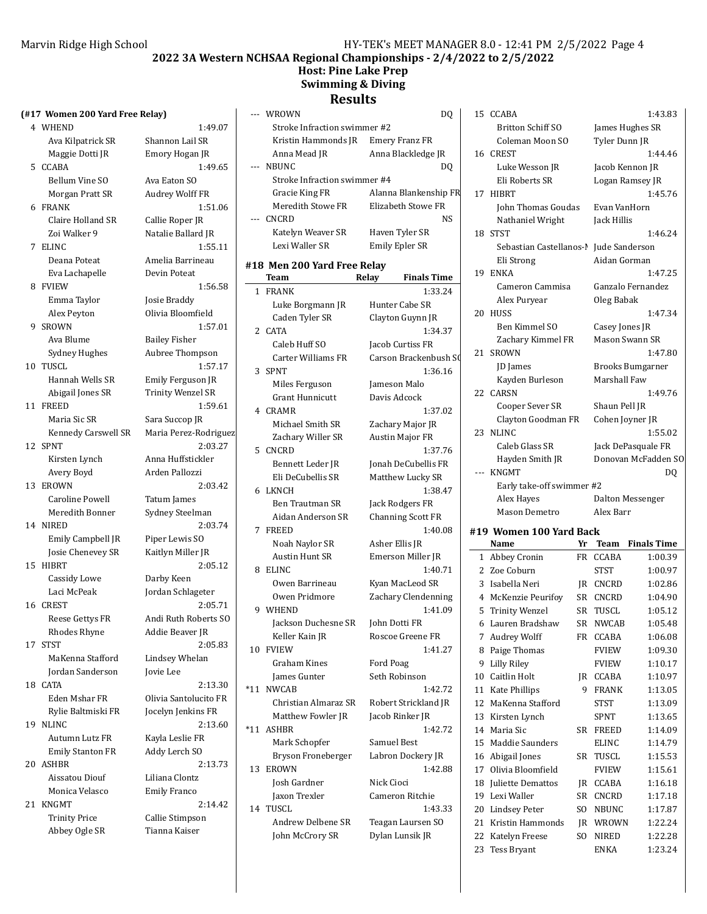**2022 3A Western NCHSAA Regional Championships - 2/4/2022 to 2/5/2022**

#### **Host: Pine Lake Prep Swimming & Diving**

## **Results**

|    | (#17 Women 200 Yard Free Relay) |                       |
|----|---------------------------------|-----------------------|
|    | 4 WHEND                         | 1:49.07               |
|    | Ava Kilpatrick SR               | Shannon Lail SR       |
|    | Maggie Dotti JR                 | Emory Hogan JR        |
| 5  | CCABA                           | 1:49.65               |
|    | <b>Bellum Vine SO</b>           | Ava Eaton SO          |
|    | Morgan Pratt SR                 | Audrey Wolff FR       |
|    | 6 FRANK                         | 1:51.06               |
|    | Claire Holland SR               | Callie Roper JR       |
|    | Zoi Walker 9                    | Natalie Ballard JR    |
| 7  | <b>ELINC</b>                    | 1:55.11               |
|    | Deana Poteat                    | Amelia Barrineau      |
|    | Eva Lachapelle                  | Devin Poteat          |
| 8  | <b>FVIEW</b>                    | 1:56.58               |
|    | Emma Taylor                     | Josie Braddy          |
|    | Alex Peyton                     | Olivia Bloomfield     |
| 9. | <b>SROWN</b>                    | 1:57.01               |
|    | Ava Blume                       | <b>Bailey Fisher</b>  |
|    | <b>Sydney Hughes</b>            | Aubree Thompson       |
|    | 10 TUSCL                        | 1:57.17               |
|    | Hannah Wells SR                 | Emily Ferguson JR     |
|    | Abigail Jones SR                | Trinity Wenzel SR     |
|    | 11 FREED                        | 1:59.61               |
|    | Maria Sic SR                    | Sara Succop JR        |
|    | Kennedy Carswell SR             | Maria Perez-Rodrigue  |
| 12 | <b>SPNT</b>                     | 2:03.27               |
|    | Kirsten Lynch                   | Anna Huffstickler     |
|    | Avery Boyd                      | Arden Pallozzi        |
|    | 13 EROWN                        | 2:03.42               |
|    | Caroline Powell                 | Tatum James           |
|    | Meredith Bonner                 | Sydney Steelman       |
| 14 | <b>NIRED</b>                    | 2:03.74               |
|    | <b>Emily Campbell JR</b>        | Piper Lewis SO        |
|    | Josie Chenevey SR               | Kaitlyn Miller JR     |
|    | 15 HIBRT                        | 2:05.12               |
|    | Cassidy Lowe                    | Darby Keen            |
|    | Laci McPeak                     | Jordan Schlageter     |
| 16 | <b>CREST</b>                    | 2:05.71               |
|    | Reese Gettys FR                 | Andi Ruth Roberts SO  |
|    | Rhodes Rhyne                    | Addie Beaver JR       |
| 17 | <b>STST</b>                     | 2:05.83               |
|    | MaKenna Stafford                | Lindsey Whelan        |
|    | Jordan Sanderson                | <b>Jovie Lee</b>      |
| 18 | <b>CATA</b>                     | 2:13.30               |
|    | Eden Mshar FR                   | Olivia Santolucito FR |
|    | Rylie Baltmiski FR              | Jocelyn Jenkins FR    |
| 19 | <b>NLINC</b>                    | 2:13.60               |
|    | Autumn Lutz FR                  | Kayla Leslie FR       |
|    | <b>Emily Stanton FR</b>         | Addy Lerch SO         |
| 20 | <b>ASHBR</b>                    | 2:13.73               |
|    | Aissatou Diouf                  | Liliana Clontz        |
|    | Monica Velasco                  | <b>Emily Franco</b>   |
| 21 | <b>KNGMT</b>                    | 2:14.42               |
|    | <b>Trinity Price</b>            | Callie Stimpson       |
|    | Abbey Ogle SR                   | Tianna Kaiser         |
|    |                                 |                       |

1:49.07 n Lail SR Hogan JR 1:49.65 on SO Wolff FR  $1:51.06$ oper JR Ballard JR  $1:55.11$ **Barrineau** oteat  $1:56.58$ addy loomfield  $1:57.01$ isher Thompson erguson JR Wenzel SR ccop JR erez-Rodriguez uffstickler <sup>2</sup>allozzi ames Steelman ewis SO Miller JR Ceen Schlageter th Roberts SO eaver JR **Whelan** antolucito FR Jenkins FR eslie FR erch SO Clontz ranco timpson Kaiser

|    | WROWN                              | DQ                          |
|----|------------------------------------|-----------------------------|
|    | Stroke Infraction swimmer #2       |                             |
|    | Kristin Hammonds JR                | <b>Emery Franz FR</b>       |
|    | Anna Mead JR                       | Anna Blackledge JR          |
|    | <b>NBUNC</b>                       | DQ                          |
|    | Stroke Infraction swimmer #4       |                             |
|    | Gracie King FR                     | Alanna Blankenship FR       |
|    | Meredith Stowe FR                  | Elizabeth Stowe FR          |
|    | CNCRD                              | NS                          |
|    | Katelyn Weaver SR                  | Haven Tyler SR              |
|    | Lexi Waller SR                     | <b>Emily Epler SR</b>       |
|    |                                    |                             |
|    | #18 Men 200 Yard Free Relay        |                             |
|    | Team                               | Relay<br><b>Finals Time</b> |
|    | 1 FRANK                            | 1:33.24                     |
|    | Luke Borgmann JR                   | Hunter Cabe SR              |
|    | Caden Tyler SR                     | Clayton Guynn JR            |
|    | 2 CATA                             | 1:34.37                     |
|    | Caleb Huff SO                      | Jacob Curtiss FR            |
|    | Carter Williams FR                 | Carson Brackenbush S0       |
|    | 3 SPNT                             | 1:36.16                     |
|    | Miles Ferguson                     | Jameson Malo                |
|    | <b>Grant Hunnicutt</b>             | Davis Adcock                |
|    | 4 CRAMR                            | 1:37.02                     |
|    | Michael Smith SR                   | Zachary Major JR            |
|    | Zachary Willer SR                  | <b>Austin Major FR</b>      |
|    | 5 CNCRD                            | 1:37.76                     |
|    | Bennett Leder JR                   | Jonah DeCubellis FR         |
|    | Eli DeCubellis SR                  | Matthew Lucky SR            |
|    | 6 LKNCH                            | 1:38.47                     |
|    | <b>Ben Trautman SR</b>             | Jack Rodgers FR             |
|    | Aidan Anderson SR                  | <b>Channing Scott FR</b>    |
|    | 7 FREED                            | 1:40.08                     |
|    | Noah Naylor SR                     | Asher Ellis JR              |
|    | Austin Hunt SR                     | Emerson Miller JR           |
| 8  | <b>ELINC</b>                       | 1:40.71                     |
|    | Owen Barrineau                     | Kyan MacLeod SR             |
|    | Owen Pridmore                      | Zachary Clendenning         |
|    | 9 WHEND                            | 1:41.09                     |
|    | Jackson Duchesne SR                | John Dotti FR               |
|    | Keller Kain JR                     | Roscoe Greene FR            |
|    | 10 FVIEW                           | 1:41.27                     |
|    | Graham Kines                       | Ford Poag                   |
|    | James Gunter                       | Seth Robinson               |
|    | *11 NWCAB                          | 1:42.72                     |
|    | Christian Almaraz SR               | Robert Strickland JR        |
|    | Matthew Fowler JR                  | Jacob Rinker JR             |
|    | *11 ASHBR                          | 1:42.72                     |
|    | Mark Schopfer                      | Samuel Best                 |
|    |                                    | Labron Dockery JR           |
| 13 | Bryson Froneberger<br><b>EROWN</b> | 1:42.88                     |
|    |                                    |                             |
|    | Josh Gardner                       | Nick Cioci                  |
|    | Jaxon Trexler<br>14 TUSCL          | Cameron Ritchie             |
|    |                                    | 1:43.33                     |
|    | Andrew Delbene SR                  | Teagan Laursen SO           |
|    | John McCrory SR                    | Dylan Lunsik JR             |

|                               |                                                                                                                                                            |                                                                                                             | 1:43.83                                                                                                                                                                                                                                                                                                          |
|-------------------------------|------------------------------------------------------------------------------------------------------------------------------------------------------------|-------------------------------------------------------------------------------------------------------------|------------------------------------------------------------------------------------------------------------------------------------------------------------------------------------------------------------------------------------------------------------------------------------------------------------------|
| <b>Britton Schiff SO</b>      |                                                                                                                                                            | James Hughes SR                                                                                             |                                                                                                                                                                                                                                                                                                                  |
| Coleman Moon SO               |                                                                                                                                                            |                                                                                                             |                                                                                                                                                                                                                                                                                                                  |
| <b>CREST</b>                  |                                                                                                                                                            |                                                                                                             | 1:44.46                                                                                                                                                                                                                                                                                                          |
|                               |                                                                                                                                                            |                                                                                                             |                                                                                                                                                                                                                                                                                                                  |
| Eli Roberts SR                |                                                                                                                                                            |                                                                                                             |                                                                                                                                                                                                                                                                                                                  |
| 17<br><b>HIBRT</b>            |                                                                                                                                                            |                                                                                                             | 1:45.76                                                                                                                                                                                                                                                                                                          |
|                               |                                                                                                                                                            |                                                                                                             |                                                                                                                                                                                                                                                                                                                  |
|                               |                                                                                                                                                            |                                                                                                             |                                                                                                                                                                                                                                                                                                                  |
|                               |                                                                                                                                                            |                                                                                                             | 1:46.24                                                                                                                                                                                                                                                                                                          |
|                               |                                                                                                                                                            |                                                                                                             |                                                                                                                                                                                                                                                                                                                  |
|                               |                                                                                                                                                            |                                                                                                             |                                                                                                                                                                                                                                                                                                                  |
|                               |                                                                                                                                                            |                                                                                                             |                                                                                                                                                                                                                                                                                                                  |
|                               |                                                                                                                                                            |                                                                                                             | 1:47.25                                                                                                                                                                                                                                                                                                          |
|                               |                                                                                                                                                            |                                                                                                             |                                                                                                                                                                                                                                                                                                                  |
|                               |                                                                                                                                                            |                                                                                                             |                                                                                                                                                                                                                                                                                                                  |
|                               |                                                                                                                                                            |                                                                                                             | 1:47.34                                                                                                                                                                                                                                                                                                          |
| Ben Kimmel SO                 |                                                                                                                                                            |                                                                                                             |                                                                                                                                                                                                                                                                                                                  |
|                               |                                                                                                                                                            |                                                                                                             |                                                                                                                                                                                                                                                                                                                  |
| <b>SROWN</b>                  |                                                                                                                                                            |                                                                                                             | 1:47.80                                                                                                                                                                                                                                                                                                          |
| <b>JD</b> James               |                                                                                                                                                            |                                                                                                             |                                                                                                                                                                                                                                                                                                                  |
| Kayden Burleson               |                                                                                                                                                            |                                                                                                             |                                                                                                                                                                                                                                                                                                                  |
| <b>CARSN</b>                  |                                                                                                                                                            |                                                                                                             | 1:49.76                                                                                                                                                                                                                                                                                                          |
| Cooper Sever SR               |                                                                                                                                                            |                                                                                                             |                                                                                                                                                                                                                                                                                                                  |
|                               |                                                                                                                                                            |                                                                                                             |                                                                                                                                                                                                                                                                                                                  |
| <b>NLINC</b>                  |                                                                                                                                                            |                                                                                                             | 1:55.02                                                                                                                                                                                                                                                                                                          |
|                               |                                                                                                                                                            |                                                                                                             |                                                                                                                                                                                                                                                                                                                  |
|                               |                                                                                                                                                            |                                                                                                             |                                                                                                                                                                                                                                                                                                                  |
| <b>KNGMT</b>                  |                                                                                                                                                            |                                                                                                             | DQ                                                                                                                                                                                                                                                                                                               |
|                               |                                                                                                                                                            |                                                                                                             |                                                                                                                                                                                                                                                                                                                  |
|                               |                                                                                                                                                            |                                                                                                             |                                                                                                                                                                                                                                                                                                                  |
| Early take-off swimmer #2     |                                                                                                                                                            |                                                                                                             |                                                                                                                                                                                                                                                                                                                  |
| Alex Hayes                    |                                                                                                                                                            | Dalton Messenger                                                                                            |                                                                                                                                                                                                                                                                                                                  |
| Mason Demetro                 |                                                                                                                                                            | Alex Barr                                                                                                   |                                                                                                                                                                                                                                                                                                                  |
| #19 Women 100 Yard Back       |                                                                                                                                                            |                                                                                                             |                                                                                                                                                                                                                                                                                                                  |
| Name                          | Yr                                                                                                                                                         | Team                                                                                                        | <b>Finals Time</b>                                                                                                                                                                                                                                                                                               |
| 1 Abbey Cronin                | FR                                                                                                                                                         | CCABA                                                                                                       | 1:00.39                                                                                                                                                                                                                                                                                                          |
| 2 Zoe Coburn                  |                                                                                                                                                            | <b>STST</b>                                                                                                 | 1:00.97                                                                                                                                                                                                                                                                                                          |
| 3 Isabella Neri               |                                                                                                                                                            | JR CNCRD                                                                                                    | 1:02.86                                                                                                                                                                                                                                                                                                          |
| 4 McKenzie Peurifoy           | SR                                                                                                                                                         | CNCRD                                                                                                       | 1:04.90                                                                                                                                                                                                                                                                                                          |
| <b>Trinity Wenzel</b>         | SR                                                                                                                                                         | TUSCL                                                                                                       | 1:05.12                                                                                                                                                                                                                                                                                                          |
| Lauren Bradshaw               | SR                                                                                                                                                         | <b>NWCAB</b>                                                                                                | 1:05.48                                                                                                                                                                                                                                                                                                          |
|                               | FR                                                                                                                                                         | <b>CCABA</b>                                                                                                | 1:06.08                                                                                                                                                                                                                                                                                                          |
| Audrey Wolff                  |                                                                                                                                                            | <b>FVIEW</b>                                                                                                | 1:09.30                                                                                                                                                                                                                                                                                                          |
| Paige Thomas                  |                                                                                                                                                            |                                                                                                             |                                                                                                                                                                                                                                                                                                                  |
| <b>Lilly Riley</b>            |                                                                                                                                                            | <b>FVIEW</b>                                                                                                | 1:10.17                                                                                                                                                                                                                                                                                                          |
| Caitlin Holt                  | JR                                                                                                                                                         | <b>CCABA</b>                                                                                                | 1:10.97                                                                                                                                                                                                                                                                                                          |
| <b>Kate Phillips</b>          | 9                                                                                                                                                          | <b>FRANK</b>                                                                                                | 1:13.05                                                                                                                                                                                                                                                                                                          |
| MaKenna Stafford              |                                                                                                                                                            | <b>STST</b>                                                                                                 | 1:13.09                                                                                                                                                                                                                                                                                                          |
| Kirsten Lynch                 |                                                                                                                                                            | SPNT                                                                                                        | 1:13.65                                                                                                                                                                                                                                                                                                          |
| Maria Sic                     | SR                                                                                                                                                         | <b>FREED</b>                                                                                                | 1:14.09                                                                                                                                                                                                                                                                                                          |
| Maddie Saunders               |                                                                                                                                                            | <b>ELINC</b>                                                                                                | 1:14.79                                                                                                                                                                                                                                                                                                          |
| Abigail Jones                 | SR                                                                                                                                                         | TUSCL                                                                                                       | 1:15.53                                                                                                                                                                                                                                                                                                          |
| Olivia Bloomfield             |                                                                                                                                                            | FVIEW                                                                                                       | 1:15.61                                                                                                                                                                                                                                                                                                          |
| Juliette Demattos             | JR                                                                                                                                                         | CCABA                                                                                                       | 1:16.18                                                                                                                                                                                                                                                                                                          |
| Lexi Waller                   | SR                                                                                                                                                         | CNCRD                                                                                                       | 1:17.18                                                                                                                                                                                                                                                                                                          |
| <b>Lindsey Peter</b>          | SO.                                                                                                                                                        | NBUNC                                                                                                       | 1:17.87                                                                                                                                                                                                                                                                                                          |
| Kristin Hammonds              | JR                                                                                                                                                         | WROWN                                                                                                       | 1:22.24                                                                                                                                                                                                                                                                                                          |
| Katelyn Freese<br>Tess Bryant | SO.                                                                                                                                                        | NIRED                                                                                                       | 1:22.28                                                                                                                                                                                                                                                                                                          |
|                               | <b>CCABA</b><br>Luke Wesson JR<br>Nathaniel Wright<br>STST<br>Eli Strong<br>19<br><b>ENKA</b><br>Alex Puryear<br>HUSS<br>Caleb Glass SR<br>Hayden Smith JR | John Thomas Goudas<br>Sebastian Castellanos-l<br>Cameron Cammisa<br>Zachary Kimmel FR<br>Clayton Goodman FR | Tyler Dunn JR<br>Jacob Kennon JR<br>Logan Ramsey JR<br>Evan VanHorn<br>Jack Hillis<br>Jude Sanderson<br>Aidan Gorman<br>Ganzalo Fernandez<br>Oleg Babak<br>Casey Jones JR<br>Mason Swann SR<br>Brooks Bumgarner<br>Marshall Faw<br>Shaun Pell JR<br>Cohen Joyner JR<br>Jack DePasquale FR<br>Donovan McFadden SO |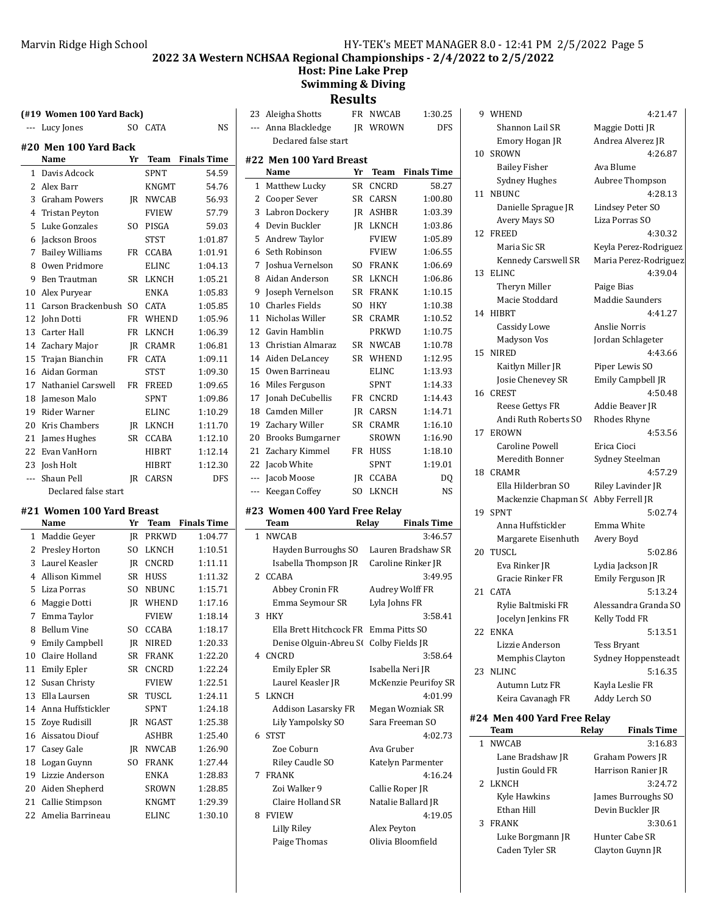#### Marvin Ridge High School HY-TEK's MEET MANAGER 8.0 - 12:41 PM 2/5/2022 Page 5

**2022 3A Western NCHSAA Regional Championships - 2/4/2022 to 2/5/2022**

# **Host: Pine Lake Prep Swimming & Diving**

**(#19 Women 100 Yard Back)**

| ---            | Lucy Jones             | SO.       | <b>CATA</b>  | NS                 |
|----------------|------------------------|-----------|--------------|--------------------|
|                | #20 Men 100 Yard Back  |           |              |                    |
|                | Name                   | Yr        | Team         | <b>Finals Time</b> |
| $\mathbf{1}$   | Davis Adcock           |           | <b>SPNT</b>  | 54.59              |
|                | 2 Alex Barr            |           | <b>KNGMT</b> | 54.76              |
|                | 3 Graham Powers        | IR        | NWCAB        | 56.93              |
| $\overline{4}$ | <b>Tristan Peyton</b>  |           | FVIEW        | 57.79              |
| 5              | Luke Gonzales          | SO.       | PISGA        | 59.03              |
| 6              | Jackson Broos          |           | <b>STST</b>  | 1:01.87            |
| 7              | <b>Bailey Williams</b> | <b>FR</b> | CCABA        | 1:01.91            |
| 8              | Owen Pridmore          |           | ELINC        | 1:04.13            |
| 9              | Ben Trautman           | <b>SR</b> | LKNCH        | 1:05.21            |
| 10             | Alex Puryear           |           | ENKA         | 1:05.83            |
|                | 11 Carson Brackenbush  | SO.       | <b>CATA</b>  | 1:05.85            |
| 12             | John Dotti             | <b>FR</b> | WHEND        | 1:05.96            |
| 13             | Carter Hall            | <b>FR</b> | LKNCH        | 1:06.39            |
|                | 14 Zachary Major       | JR.       | CRAMR        | 1:06.81            |
| 15             | Trajan Bianchin        | <b>FR</b> | <b>CATA</b>  | 1:09.11            |
| 16             | Aidan Gorman           |           | STST         | 1:09.30            |
|                | 17 Nathaniel Carswell  | <b>FR</b> | <b>FREED</b> | 1:09.65            |
|                | 18 Jameson Malo        |           | <b>SPNT</b>  | 1:09.86            |
| 19             | Rider Warner           |           | <b>ELINC</b> | 1:10.29            |
|                | 20 Kris Chambers       | IR        | LKNCH        | 1:11.70            |
| 21             | James Hughes           | SR -      | <b>CCABA</b> | 1:12.10            |
|                | 22 Evan VanHorn        |           | HIBRT        | 1:12.14            |
|                | 23 Josh Holt           |           | HIBRT        | 1:12.30            |
| $---$          | Shaun Pell             | <b>IR</b> | <b>CARSN</b> | <b>DFS</b>         |
|                | Declared false start   |           |              |                    |

#### **#21 Women 100 Yard Breast**

|              | Name                  | Yr             | Team         | <b>Finals Time</b> |
|--------------|-----------------------|----------------|--------------|--------------------|
| $\mathbf{1}$ | Maddie Geyer          | JR             | <b>PRKWD</b> | 1:04.77            |
| 2            | Presley Horton        | S <sub>O</sub> | LKNCH        | 1:10.51            |
| 3            | Laurel Keasler        | IR.            | CNCRD        | 1:11.11            |
| 4            | Allison Kimmel        | SR             | <b>HUSS</b>  | 1:11.32            |
| 5            | Liza Porras           | SO.            | <b>NBUNC</b> | 1:15.71            |
| 6            | Maggie Dotti          | <b>IR</b>      | WHEND        | 1:17.16            |
| 7            | Emma Taylor           |                | <b>FVIEW</b> | 1:18.14            |
| 8            | <b>Bellum Vine</b>    | SO.            | <b>CCABA</b> | 1:18.17            |
| 9            | <b>Emily Campbell</b> | <b>IR</b>      | <b>NIRED</b> | 1:20.33            |
| 10           | Claire Holland        | SR             | <b>FRANK</b> | 1:22.20            |
| 11           | <b>Emily Epler</b>    | <b>SR</b>      | <b>CNCRD</b> | 1:22.24            |
| 12           | Susan Christy         |                | <b>FVIEW</b> | 1:22.51            |
| 13           | Ella Laursen          | SR             | TUSCL        | 1:24.11            |
| 14           | Anna Huffstickler     |                | <b>SPNT</b>  | 1:24.18            |
| 15           | Zove Rudisill         | IR             | <b>NGAST</b> | 1:25.38            |
| 16           | Aissatou Diouf        |                | <b>ASHBR</b> | 1:25.40            |
| 17           | Casey Gale            | IR             | <b>NWCAB</b> | 1:26.90            |
| 18           | Logan Guynn           | SO.            | <b>FRANK</b> | 1:27.44            |
| 19           | Lizzie Anderson       |                | <b>ENKA</b>  | 1:28.83            |
| 20           | Aiden Shepherd        |                | SROWN        | 1:28.85            |
| 21           | Callie Stimpson       |                | KNGMT        | 1:29.39            |
| 22           | Amelia Barrineau      |                | ELINC        | 1:30.10            |

| <b>Results</b>          |                               |           |              |                    |  |
|-------------------------|-------------------------------|-----------|--------------|--------------------|--|
| 23                      | Aleigha Shotts                | <b>FR</b> | <b>NWCAB</b> | 1:30.25            |  |
| $---$                   | Anna Blackledge               | <b>IR</b> | WROWN        | <b>DFS</b>         |  |
|                         | Declared false start          |           |              |                    |  |
|                         | #22 Men 100 Yard Breast       |           |              |                    |  |
|                         | Name                          | Yr        | Team         | <b>Finals Time</b> |  |
| $\mathbf{1}$            | Matthew Lucky                 | <b>SR</b> | CNCRD        | 58.27              |  |
| 2                       | Cooper Sever                  | SR        | CARSN        | 1:00.80            |  |
| 3                       | Labron Dockery                | IR        | <b>ASHBR</b> | 1:03.39            |  |
| 4                       | Devin Buckler                 | <b>IR</b> | <b>LKNCH</b> | 1:03.86            |  |
| 5                       | Andrew Taylor                 |           | <b>FVIEW</b> | 1:05.89            |  |
| 6                       | Seth Robinson                 |           | <b>FVIEW</b> | 1:06.55            |  |
| 7                       | Joshua Vernelson              | SO.       | <b>FRANK</b> | 1:06.69            |  |
| 8                       | Aidan Anderson                | SR        | LKNCH        | 1:06.86            |  |
| 9                       | Joseph Vernelson              | SR        | <b>FRANK</b> | 1:10.15            |  |
| 10                      | <b>Charles Fields</b>         | SO.       | <b>HKY</b>   | 1:10.38            |  |
| 11                      | Nicholas Willer               | <b>SR</b> | <b>CRAMR</b> | 1:10.52            |  |
| 12                      | Gavin Hamblin                 |           | <b>PRKWD</b> | 1:10.75            |  |
| 13                      | Christian Almaraz             | <b>SR</b> | <b>NWCAB</b> | 1:10.78            |  |
| 14                      | Aiden DeLancey                | <b>SR</b> | WHEND        | 1:12.95            |  |
| 15                      | Owen Barrineau                |           | <b>ELINC</b> | 1:13.93            |  |
| 16                      | Miles Ferguson                |           | <b>SPNT</b>  | 1:14.33            |  |
| 17                      | <b>Jonah DeCubellis</b>       | FR        | <b>CNCRD</b> | 1:14.43            |  |
| 18                      | Camden Miller                 | IR        | <b>CARSN</b> | 1:14.71            |  |
| 19                      | Zachary Willer                | <b>SR</b> | <b>CRAMR</b> | 1:16.10            |  |
| 20                      | <b>Brooks Bumgarner</b>       |           | <b>SROWN</b> | 1:16.90            |  |
| 21                      | Zachary Kimmel                | FR        | <b>HUSS</b>  | 1:18.10            |  |
| 22                      | Jacob White                   |           | <b>SPNT</b>  | 1:19.01            |  |
| ---                     | Jacob Moose                   | <b>IR</b> | <b>CCABA</b> | DQ                 |  |
| ---                     | Keegan Coffey                 | SO.       | <b>LKNCH</b> | <b>NS</b>          |  |
|                         | #23 Women 400 Yard Free Relay |           |              |                    |  |
|                         | Team                          |           | Relay        | <b>Finals Time</b> |  |
| 1                       | <b>NWCAB</b>                  |           |              | 3:46.57            |  |
|                         | Hayden Burroughs SO           |           |              | Lauren Bradshaw SR |  |
|                         | Isabella Thompson JR          |           |              | Caroline Rinker JR |  |
| $\overline{\mathbf{c}}$ | CCABA                         |           |              | 3:49.95            |  |

| <b>IWCAB</b>                           | 3:46.57              |   |
|----------------------------------------|----------------------|---|
| Hayden Burroughs SO Lauren Bradshaw SR |                      |   |
| Isabella Thompson JR                   | Caroline Rinker JR   |   |
| CABA:                                  | 3:49.95              |   |
| Abbey Cronin FR                        | Audrey Wolff FR      |   |
| Emma Seymour SR                        | Lyla Johns FR        |   |
| IKY                                    | 3:58.41              |   |
| Ella Brett Hitchcock FR Emma Pitts SO  |                      |   |
| Denise Olguin-Abreu S( Colby Fields JR |                      |   |
| NCRD:                                  | 3:58.64              |   |
| Emily Epler SR                         | Isabella Neri JR     |   |
| Laurel Keasler JR                      | McKenzie Peurifoy SR |   |
| KNCH                                   | 4:01.99              |   |
| Addison Lasarsky FR                    | Megan Wozniak SR     |   |
| Lily Yampolsky SO                      | Sara Freeman SO      | ŧ |
| TST                                    | 4:02.73              |   |
| Zoe Coburn                             | Ava Gruber           |   |
| Riley Caudle SO                        | Katelyn Parmenter    |   |
| <b>RANK</b>                            | 4:16.24              |   |
| Zoi Walker 9                           | Callie Roper JR      |   |
| Claire Holland SR                      | Natalie Ballard JR   |   |
| <b>VIEW</b>                            | 4:19.05              |   |
| Lilly Riley                            | Alex Peyton          |   |
| Paige Thomas                           | Olivia Bloomfield    |   |

3 HKY

4 CNCRD

5 LKNCH

6 STST

7 FRANK

8 FVIEW

9 4:21.47 WHEND Shannon Lail SR Maggie Dotti JR Emory Hogan JR Andrea Alverez JR 10 SROWN 4:26.87 Bailey Fisher Ava Blume Sydney Hughes Aubree Thompson 11 NBUNC 4:28.13 Danielle Sprague JR Lindsey Peter SO Avery Mays SO Liza Porras SO 12 FREED 4:30.32 Maria Sic SR Keyla Perez-Rodriguez Kennedy Carswell SR Maria Perez-Rodriguez 13 ELINC 4:39.04 Theryn Miller Paige Bias Macie Stoddard Maddie Saunders 14 HIBRT 4:41.27 Cassidy Lowe Anslie Norris Madyson Vos Jordan Schlageter 15 4:43.66 NIRED Kaitlyn Miller JR Piper Lewis SO Josie Chenevey SR Emily Campbell JR 16 4:50.48 CREST Reese Gettys FR Addie Beaver JR Andi Ruth Roberts SO Rhodes Rhyne 17 EROWN 4:53.56 Caroline Powell Erica Cioci Meredith Bonner Sydney Steelman 18 4:57.29 CRAMR Ella Hilderbran SO Riley Lavinder JR Mackenzie Chapman S( Abby Ferrell JR 19 5:02.74 SPNT Anna Huffstickler Emma White Margarete Eisenhuth Avery Boyd 20 5:02.86 TUSCL Eva Rinker JR Lydia Jackson JR Gracie Rinker FR Emily Ferguson JR 21 5:13.24 CATA Rylie Baltmiski FR Alessandra Granda SO Jocelyn Jenkins FR Kelly Todd FR 22 5:13.51 ENKA Lizzie Anderson Tess Bryant Memphis Clayton Sydney Hoppensteadt 23 NLINC 5:16.35 Autumn Lutz FR Kayla Leslie FR Keira Cavanagh FR Addy Lerch SO

**#24 Men 400 Yard Free Relay**

|   | Team             | Relay | <b>Finals Time</b> |
|---|------------------|-------|--------------------|
|   | 1 NWCAB          |       | 3:16.83            |
|   | Lane Bradshaw JR |       | Graham Powers JR   |
|   | Justin Gould FR  |       | Harrison Ranier JR |
|   | 2 LKNCH          |       | 3:24.72            |
|   | Kyle Hawkins     |       | James Burroughs SO |
|   | Ethan Hill       |       | Devin Buckler JR   |
| 3 | <b>FRANK</b>     |       | 3:30.61            |
|   | Luke Borgmann JR |       | Hunter Cabe SR     |
|   | Caden Tyler SR   |       | Clayton Guynn JR   |
|   |                  |       |                    |